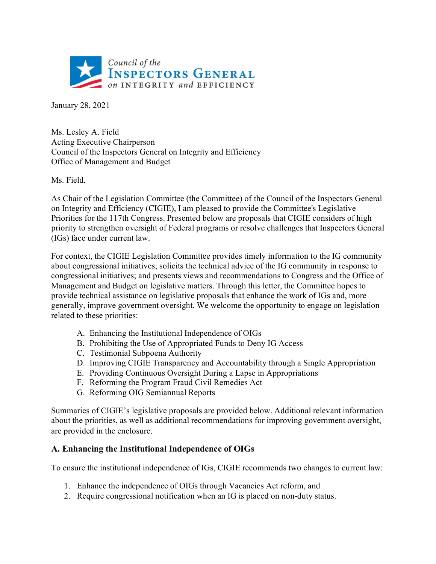

January 28, 2021

Ms. Lesley A. Field Acting Executive Chairperson Council of the Inspectors General on Integrity and Efficiency Office of Management and Budget

Ms. Field,

As Chair of the Legislation Committee (the Committee) of the Council of the Inspectors General on Integrity and Efficiency (CIGIE), I am pleased to provide the Committee's Legislative Priorities for the 117th Congress. Presented below are proposals that CIGIE considers of high priority to strengthen oversight of Federal programs or resolve challenges that Inspectors General (IGs) face under current law.

For context, the CIGIE Legislation Committee provides timely information to the IG community about congressional initiatives; solicits the technical advice of the IG community in response to congressional initiatives; and presents views and recommendations to Congress and the Office of Management and Budget on legislative matters. Through this letter, the Committee hopes to provide technical assistance on legislative proposals that enhance the work of IGs and, more generally, improve government oversight. We welcome the opportunity to engage on legislation related to these priorities:

- A. Enhancing the Institutional Independence of OIGs
- B. Prohibiting the Use of Appropriated Funds to Deny IG Access
- C. Testimonial Subpoena Authority
- D. Improving CIGIE Transparency and Accountability through a Single Appropriation
- E. Providing Continuous Oversight During a Lapse in Appropriations
- F. Reforming the Program Fraud Civil Remedies Act
- G. Reforming OIG Semiannual Reports

Summaries of CIGIE's legislative proposals are provided below. Additional relevant information about the priorities, as well as additional recommendations for improving government oversight, are provided in the enclosure.

#### **A. Enhancing the Institutional Independence of OIGs**

To ensure the institutional independence of IGs, CIGIE recommends two changes to current law:

- 1. Enhance the independence of OIGs through Vacancies Act reform, and
- 2. Require congressional notification when an IG is placed on non-duty status.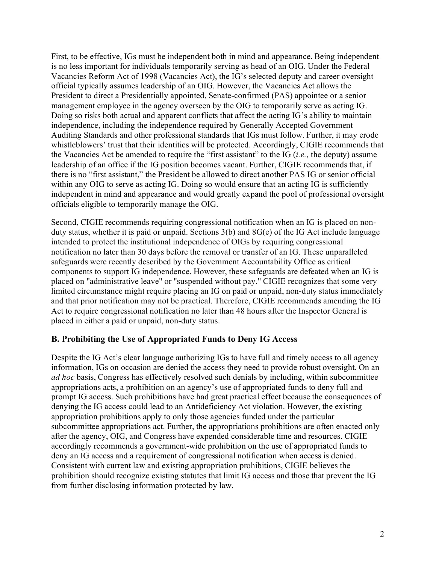First, to be effective, IGs must be independent both in mind and appearance. Being independent is no less important for individuals temporarily serving as head of an OIG. Under the Federal Vacancies Reform Act of 1998 (Vacancies Act), the IG's selected deputy and career oversight official typically assumes leadership of an OIG. However, the Vacancies Act allows the President to direct a Presidentially appointed, Senate-confirmed (PAS) appointee or a senior management employee in the agency overseen by the OIG to temporarily serve as acting IG. Doing so risks both actual and apparent conflicts that affect the acting IG's ability to maintain independence, including the independence required by Generally Accepted Government Auditing Standards and other professional standards that IGs must follow. Further, it may erode whistleblowers' trust that their identities will be protected. Accordingly, CIGIE recommends that the Vacancies Act be amended to require the "first assistant" to the IG (*i.e.*, the deputy) assume leadership of an office if the IG position becomes vacant. Further, CIGIE recommends that, if there is no "first assistant," the President be allowed to direct another PAS IG or senior official within any OIG to serve as acting IG. Doing so would ensure that an acting IG is sufficiently independent in mind and appearance and would greatly expand the pool of professional oversight officials eligible to temporarily manage the OIG.

Second, CIGIE recommends requiring congressional notification when an IG is placed on nonduty status, whether it is paid or unpaid. Sections 3(b) and 8G(e) of the IG Act include language intended to protect the institutional independence of OIGs by requiring congressional notification no later than 30 days before the removal or transfer of an IG. These unparalleled safeguards were recently described by the Government Accountability Office as critical components to support IG independence. However, these safeguards are defeated when an IG is placed on "administrative leave" or "suspended without pay." CIGIE recognizes that some very limited circumstance might require placing an IG on paid or unpaid, non-duty status immediately and that prior notification may not be practical. Therefore, CIGIE recommends amending the IG Act to require congressional notification no later than 48 hours after the Inspector General is placed in either a paid or unpaid, non-duty status.

#### **B. Prohibiting the Use of Appropriated Funds to Deny IG Access**

Despite the IG Act's clear language authorizing IGs to have full and timely access to all agency information, IGs on occasion are denied the access they need to provide robust oversight. On an *ad hoc* basis, Congress has effectively resolved such denials by including, within subcommittee appropriations acts, a prohibition on an agency's use of appropriated funds to deny full and prompt IG access. Such prohibitions have had great practical effect because the consequences of denying the IG access could lead to an Antideficiency Act violation. However, the existing appropriation prohibitions apply to only those agencies funded under the particular subcommittee appropriations act. Further, the appropriations prohibitions are often enacted only after the agency, OIG, and Congress have expended considerable time and resources. CIGIE accordingly recommends a government-wide prohibition on the use of appropriated funds to deny an IG access and a requirement of congressional notification when access is denied. Consistent with current law and existing appropriation prohibitions, CIGIE believes the prohibition should recognize existing statutes that limit IG access and those that prevent the IG from further disclosing information protected by law.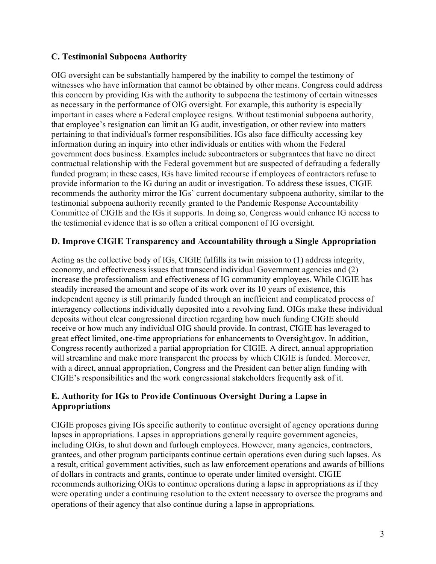# **C. Testimonial Subpoena Authority**

OIG oversight can be substantially hampered by the inability to compel the testimony of witnesses who have information that cannot be obtained by other means. Congress could address this concern by providing IGs with the authority to subpoena the testimony of certain witnesses as necessary in the performance of OIG oversight. For example, this authority is especially important in cases where a Federal employee resigns. Without testimonial subpoena authority, that employee's resignation can limit an IG audit, investigation, or other review into matters pertaining to that individual's former responsibilities. IGs also face difficulty accessing key information during an inquiry into other individuals or entities with whom the Federal government does business. Examples include subcontractors or subgrantees that have no direct contractual relationship with the Federal government but are suspected of defrauding a federally funded program; in these cases, IGs have limited recourse if employees of contractors refuse to provide information to the IG during an audit or investigation. To address these issues, CIGIE recommends the authority mirror the IGs' current documentary subpoena authority, similar to the testimonial subpoena authority recently granted to the Pandemic Response Accountability Committee of CIGIE and the IGs it supports. In doing so, Congress would enhance IG access to the testimonial evidence that is so often a critical component of IG oversight.

#### **D. Improve CIGIE Transparency and Accountability through a Single Appropriation**

Acting as the collective body of IGs, CIGIE fulfills its twin mission to (1) address integrity, economy, and effectiveness issues that transcend individual Government agencies and (2) increase the professionalism and effectiveness of IG community employees. While CIGIE has steadily increased the amount and scope of its work over its 10 years of existence, this independent agency is still primarily funded through an inefficient and complicated process of interagency collections individually deposited into a revolving fund. OIGs make these individual deposits without clear congressional direction regarding how much funding CIGIE should receive or how much any individual OIG should provide. In contrast, CIGIE has leveraged to great effect limited, one-time appropriations for enhancements to Oversight.gov. In addition, Congress recently authorized a partial appropriation for CIGIE. A direct, annual appropriation will streamline and make more transparent the process by which CIGIE is funded. Moreover, with a direct, annual appropriation, Congress and the President can better align funding with CIGIE's responsibilities and the work congressional stakeholders frequently ask of it.

# **E. Authority for IGs to Provide Continuous Oversight During a Lapse in Appropriations**

CIGIE proposes giving IGs specific authority to continue oversight of agency operations during lapses in appropriations. Lapses in appropriations generally require government agencies, including OIGs, to shut down and furlough employees. However, many agencies, contractors, grantees, and other program participants continue certain operations even during such lapses. As a result, critical government activities, such as law enforcement operations and awards of billions of dollars in contracts and grants, continue to operate under limited oversight. CIGIE recommends authorizing OIGs to continue operations during a lapse in appropriations as if they were operating under a continuing resolution to the extent necessary to oversee the programs and operations of their agency that also continue during a lapse in appropriations.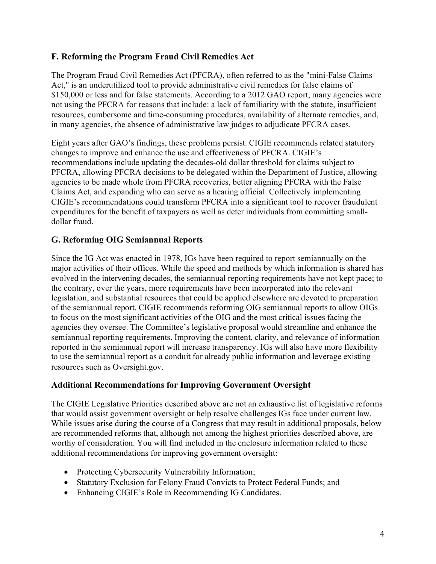# **F. Reforming the Program Fraud Civil Remedies Act**

The Program Fraud Civil Remedies Act (PFCRA), often referred to as the "mini-False Claims Act," is an underutilized tool to provide administrative civil remedies for false claims of \$150,000 or less and for false statements. According to a 2012 GAO report, many agencies were not using the PFCRA for reasons that include: a lack of familiarity with the statute, insufficient resources, cumbersome and time-consuming procedures, availability of alternate remedies, and, in many agencies, the absence of administrative law judges to adjudicate PFCRA cases.

Eight years after GAO's findings, these problems persist. CIGIE recommends related statutory changes to improve and enhance the use and effectiveness of PFCRA. CIGIE's recommendations include updating the decades-old dollar threshold for claims subject to PFCRA, allowing PFCRA decisions to be delegated within the Department of Justice, allowing agencies to be made whole from PFCRA recoveries, better aligning PFCRA with the False Claims Act, and expanding who can serve as a hearing official. Collectively implementing CIGIE's recommendations could transform PFCRA into a significant tool to recover fraudulent expenditures for the benefit of taxpayers as well as deter individuals from committing smalldollar fraud.

# **G. Reforming OIG Semiannual Reports**

Since the IG Act was enacted in 1978, IGs have been required to report semiannually on the major activities of their offices. While the speed and methods by which information is shared has evolved in the intervening decades, the semiannual reporting requirements have not kept pace; to the contrary, over the years, more requirements have been incorporated into the relevant legislation, and substantial resources that could be applied elsewhere are devoted to preparation of the semiannual report. CIGIE recommends reforming OIG semiannual reports to allow OIGs to focus on the most significant activities of the OIG and the most critical issues facing the agencies they oversee. The Committee's legislative proposal would streamline and enhance the semiannual reporting requirements. Improving the content, clarity, and relevance of information reported in the semiannual report will increase transparency. IGs will also have more flexibility to use the semiannual report as a conduit for already public information and leverage existing resources such as Oversight.gov.

#### **Additional Recommendations for Improving Government Oversight**

The CIGIE Legislative Priorities described above are not an exhaustive list of legislative reforms that would assist government oversight or help resolve challenges IGs face under current law. While issues arise during the course of a Congress that may result in additional proposals, below are recommended reforms that, although not among the highest priorities described above, are worthy of consideration. You will find included in the enclosure information related to these additional recommendations for improving government oversight:

- Protecting Cybersecurity Vulnerability Information;
- Statutory Exclusion for Felony Fraud Convicts to Protect Federal Funds; and
- Enhancing CIGIE's Role in Recommending IG Candidates.